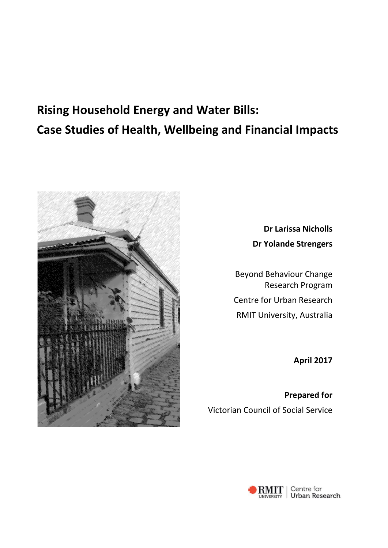# **Rising Household Energy and Water Bills: Case Studies of Health, Wellbeing and Financial Impacts**



**Dr Larissa Nicholls Dr Yolande Strengers**

Beyond Behaviour Change Research Program Centre for Urban Research RMIT University, Australia

**April 2017**

**Prepared for**  Victorian Council of Social Service

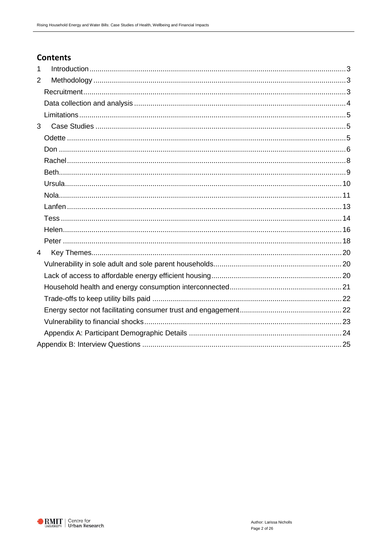## **Contents**

| $\mathbf{1}$   |  |
|----------------|--|
| $\overline{2}$ |  |
|                |  |
|                |  |
|                |  |
| 3              |  |
|                |  |
|                |  |
|                |  |
|                |  |
|                |  |
|                |  |
|                |  |
|                |  |
|                |  |
|                |  |
| $\overline{4}$ |  |
|                |  |
|                |  |
|                |  |
|                |  |
|                |  |
|                |  |
|                |  |
|                |  |

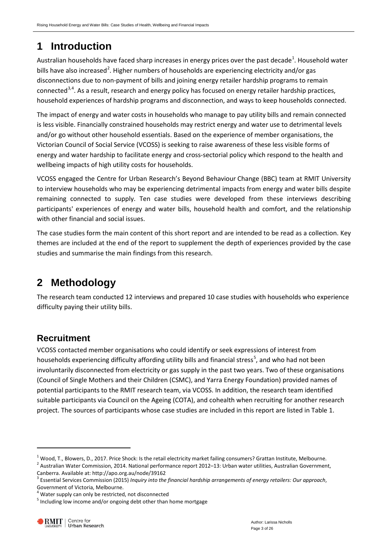# <span id="page-2-0"></span>**1 Introduction**

Australian households have faced sharp increases in energy prices over the past decade<sup>[1](#page-2-3)</sup>. Household water bills have also increased<sup>[2](#page-2-4)</sup>. Higher numbers of households are experiencing electricity and/or gas disconnections due to non-payment of bills and joining energy retailer hardship programs to remain connected<sup>[3,](#page-2-5)[4](#page-2-6)</sup>. As a result, research and energy policy has focused on energy retailer hardship practices, household experiences of hardship programs and disconnection, and ways to keep households connected.

The impact of energy and water costs in households who manage to pay utility bills and remain connected is less visible. Financially constrained households may restrict energy and water use to detrimental levels and/or go without other household essentials. Based on the experience of member organisations, the Victorian Council of Social Service (VCOSS) is seeking to raise awareness of these less visible forms of energy and water hardship to facilitate energy and cross-sectorial policy which respond to the health and wellbeing impacts of high utility costs for households.

VCOSS engaged the Centre for Urban Research's Beyond Behaviour Change (BBC) team at RMIT University to interview households who may be experiencing detrimental impacts from energy and water bills despite remaining connected to supply. Ten case studies were developed from these interviews describing participants' experiences of energy and water bills, household health and comfort, and the relationship with other financial and social issues.

The case studies form the main content of this short report and are intended to be read as a collection. Key themes are included at the end of the report to supplement the depth of experiences provided by the case studies and summarise the main findings from this research.

# <span id="page-2-1"></span>**2 Methodology**

The research team conducted 12 interviews and prepared 10 case studies with households who experience difficulty paying their utility bills.

## <span id="page-2-2"></span>**Recruitment**

VCOSS contacted member organisations who could identify or seek expressions of interest from households experiencing difficulty affording utility bills and financial stress<sup>[5](#page-2-7)</sup>, and who had not been involuntarily disconnected from electricity or gas supply in the past two years. Two of these organisations (Council of Single Mothers and their Children (CSMC), and Yarra Energy Foundation) provided names of potential participants to the RMIT research team, via VCOSS. In addition, the research team identified suitable participants via Council on the Ageing (COTA), and cohealth when recruiting for another research project. The sources of participants whose case studies are included in this report are listed in Table 1.

-

<span id="page-2-4"></span><span id="page-2-3"></span><sup>&</sup>lt;sup>1</sup> Wood, T., Blowers, D., 2017. Price Shock: Is the retail electricity market failing consumers? Grattan Institute, Melbourne.<br><sup>2</sup> Australian Water Commission, 2014. National performance report 2012–13: Urban water utili

<span id="page-2-5"></span>Canberra. Available at: http://apo.org.au/node/39162<br><sup>3</sup> Essential Services Commission (2015) *Inquiry into the financial hardship arrangements of energy retailers: Our approach,* Government of Victoria, Melbourne.

<span id="page-2-6"></span> $4$  Water supply can only be restricted, not disconnected

<span id="page-2-7"></span><sup>5</sup> Including low income and/or ongoing debt other than home mortgage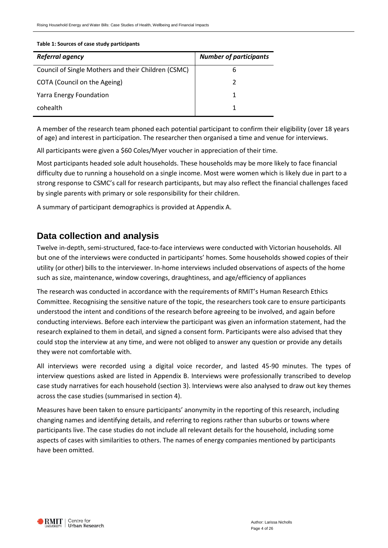#### **Table 1: Sources of case study participants**

| <b>Referral agency</b>                              | <b>Number of participants</b> |  |  |  |
|-----------------------------------------------------|-------------------------------|--|--|--|
| Council of Single Mothers and their Children (CSMC) | h                             |  |  |  |
| COTA (Council on the Ageing)                        |                               |  |  |  |
| <b>Yarra Energy Foundation</b>                      |                               |  |  |  |
| cohealth                                            |                               |  |  |  |

A member of the research team phoned each potential participant to confirm their eligibility (over 18 years of age) and interest in participation. The researcher then organised a time and venue for interviews.

All participants were given a \$60 Coles/Myer voucher in appreciation of their time.

Most participants headed sole adult households. These households may be more likely to face financial difficulty due to running a household on a single income. Most were women which is likely due in part to a strong response to CSMC's call for research participants, but may also reflect the financial challenges faced by single parents with primary or sole responsibility for their children.

A summary of participant demographics is provided at Appendix A.

#### <span id="page-3-0"></span>**Data collection and analysis**

Twelve in-depth, semi-structured, face-to-face interviews were conducted with Victorian households. All but one of the interviews were conducted in participants' homes. Some households showed copies of their utility (or other) bills to the interviewer. In-home interviews included observations of aspects of the home such as size, maintenance, window coverings, draughtiness, and age/efficiency of appliances

The research was conducted in accordance with the requirements of RMIT's Human Research Ethics Committee. Recognising the sensitive nature of the topic, the researchers took care to ensure participants understood the intent and conditions of the research before agreeing to be involved, and again before conducting interviews. Before each interview the participant was given an information statement, had the research explained to them in detail, and signed a consent form. Participants were also advised that they could stop the interview at any time, and were not obliged to answer any question or provide any details they were not comfortable with.

All interviews were recorded using a digital voice recorder, and lasted 45-90 minutes. The types of interview questions asked are listed in Appendix B. Interviews were professionally transcribed to develop case study narratives for each household (section 3). Interviews were also analysed to draw out key themes across the case studies (summarised in section 4).

Measures have been taken to ensure participants' anonymity in the reporting of this research, including changing names and identifying details, and referring to regions rather than suburbs or towns where participants live. The case studies do not include all relevant details for the household, including some aspects of cases with similarities to others. The names of energy companies mentioned by participants have been omitted.

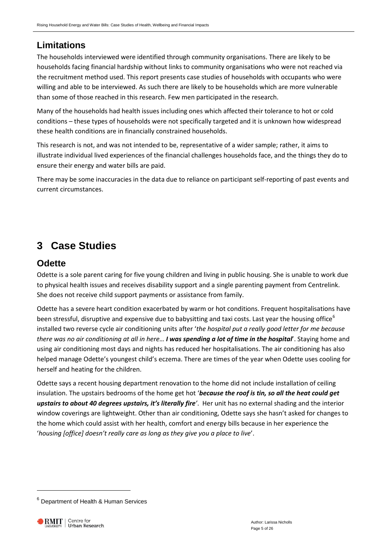## <span id="page-4-0"></span>**Limitations**

The households interviewed were identified through community organisations. There are likely to be households facing financial hardship without links to community organisations who were not reached via the recruitment method used. This report presents case studies of households with occupants who were willing and able to be interviewed. As such there are likely to be households which are more vulnerable than some of those reached in this research. Few men participated in the research.

Many of the households had health issues including ones which affected their tolerance to hot or cold conditions – these types of households were not specifically targeted and it is unknown how widespread these health conditions are in financially constrained households.

This research is not, and was not intended to be, representative of a wider sample; rather, it aims to illustrate individual lived experiences of the financial challenges households face, and the things they do to ensure their energy and water bills are paid.

There may be some inaccuracies in the data due to reliance on participant self-reporting of past events and current circumstances.

# <span id="page-4-1"></span>**3 Case Studies**

## <span id="page-4-2"></span>**Odette**

Odette is a sole parent caring for five young children and living in public housing. She is unable to work due to physical health issues and receives disability support and a single parenting payment from Centrelink. She does not receive child support payments or assistance from family.

Odette has a severe heart condition exacerbated by warm or hot conditions. Frequent hospitalisations have been stressful, disruptive and expensive due to babysitting and taxi costs. Last year the housing office<sup>[6](#page-4-3)</sup> installed two reverse cycle air conditioning units after '*the hospital put a really good letter for me because there was no air conditioning at all in here… I was spending a lot of time in the hospital*'. Staying home and using air conditioning most days and nights has reduced her hospitalisations. The air conditioning has also helped manage Odette's youngest child's eczema. There are times of the year when Odette uses cooling for herself and heating for the children.

Odette says a recent housing department renovation to the home did not include installation of ceiling insulation. The upstairs bedrooms of the home get hot '*because the roof is tin, so all the heat could get upstairs to about 40 degrees upstairs, it's literally fire'*. Her unit has no external shading and the interior window coverings are lightweight. Other than air conditioning, Odette says she hasn't asked for changes to the home which could assist with her health, comfort and energy bills because in her experience the '*housing [office] doesn't really care as long as they give you a place to live*'.

-

<span id="page-4-3"></span><sup>6</sup> Department of Health & Human Services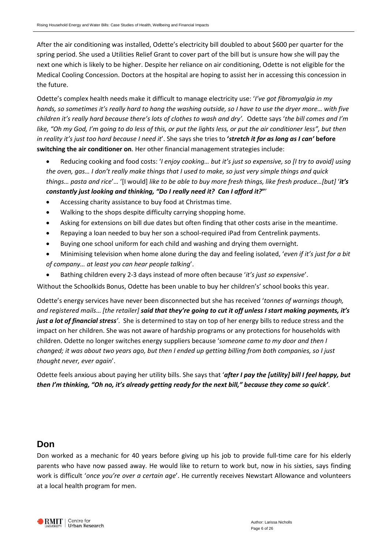After the air conditioning was installed, Odette's electricity bill doubled to about \$600 per quarter for the spring period. She used a Utilities Relief Grant to cover part of the bill but is unsure how she will pay the next one which is likely to be higher. Despite her reliance on air conditioning, Odette is not eligible for the Medical Cooling Concession. Doctors at the hospital are hoping to assist her in accessing this concession in the future.

Odette's complex health needs make it difficult to manage electricity use: '*I've got fibromyalgia in my hands, so sometimes it's really hard to hang the washing outside, so I have to use the dryer more… with five children it's really hard because there's lots of clothes to wash and dry'.* Odette says '*the bill comes and I'm like, "Oh my God, I'm going to do less of this, or put the lights less, or put the air conditioner less", but then in reality it's just too hard because I need it*'. She says she tries to **'***stretch it for as long as I can'* **before switching the air conditioner on**. Her other financial management strategies include:

- Reducing cooking and food costs: '*I enjoy cooking… but it's just so expensive, so [I try to avoid] using the oven, gas… I don't really make things that I used to make, so just very simple things and quick things… pasta and rice*'… '[I would] *like to be able to buy more fresh things, like fresh produce…[but]* '*it's constantly just looking and thinking, "Do I really need it? Can I afford it?***"**'
- Accessing charity assistance to buy food at Christmas time.
- Walking to the shops despite difficulty carrying shopping home.
- Asking for extensions on bill due dates but often finding that other costs arise in the meantime.
- Repaying a loan needed to buy her son a school-required iPad from Centrelink payments.
- Buying one school uniform for each child and washing and drying them overnight.
- Minimising television when home alone during the day and feeling isolated, '*even if it's just for a bit of company… at least you can hear people talking*'.
- Bathing children every 2-3 days instead of more often because '*it's just so expensive*'.

Without the Schoolkids Bonus, Odette has been unable to buy her children's' school books this year.

Odette's energy services have never been disconnected but she has received '*tonnes of warnings though, and registered mails*… *[the retailer] said that they're going to cut it off unless I start making payments, it's just a lot of financial stress'*. She is determined to stay on top of her energy bills to reduce stress and the impact on her children. She was not aware of hardship programs or any protections for households with children. Odette no longer switches energy suppliers because '*someone came to my door and then I changed; it was about two years ago, but then I ended up getting billing from both companies, so I just thought never, ever again*'.

Odette feels anxious about paying her utility bills. She says that '*after I pay the [utility] bill I feel happy, but then I'm thinking, "Oh no, it's already getting ready for the next bill," because they come so quick'*.

#### <span id="page-5-0"></span>**Don**

Don worked as a mechanic for 40 years before giving up his job to provide full-time care for his elderly parents who have now passed away. He would like to return to work but, now in his sixties, says finding work is difficult '*once you're over a certain age*'. He currently receives Newstart Allowance and volunteers at a local health program for men.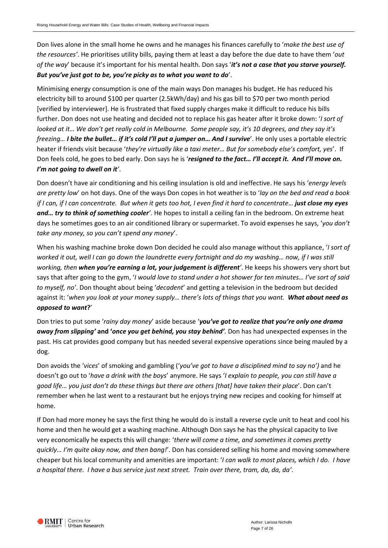Don lives alone in the small home he owns and he manages his finances carefully to '*make the best use of the resources'*. He prioritises utility bills, paying them at least a day before the due date to have them '*out of the way*' because it's important for his mental health. Don says '*it's not a case that you starve yourself. But you've just got to be, you're picky as to what you want to do*'.

Minimising energy consumption is one of the main ways Don manages his budget. He has reduced his electricity bill to around \$100 per quarter (2.5kWh/day) and his gas bill to \$70 per two month period [verified by interviewer]. He is frustrated that fixed supply charges make it difficult to reduce his bills further. Don does not use heating and decided not to replace his gas heater after it broke down: '*I sort of looked at it… We don't get really cold in Melbourne. Some people say, it's 10 degrees, and they say it's freezing… I bite the bullet… if it's cold I'll put a jumper on… And I survive*'. He only uses a portable electric heater if friends visit because '*they're virtually like a taxi meter… But for somebody else's comfort, yes*'. If Don feels cold, he goes to bed early. Don says he is '*resigned to the fact… I'll accept it. And I'll move on. I'm not going to dwell on it'*.

Don doesn't have air conditioning and his ceiling insulation is old and ineffective. He says his '*energy levels are pretty low*' on hot days. One of the ways Don copes in hot weather is to '*lay on the bed and read a book if I can, if I can concentrate. But when it gets too hot, I even find it hard to concentrate… just close my eyes and… try to think of something cooler'*. He hopes to install a ceiling fan in the bedroom. On extreme heat days he sometimes goes to an air conditioned library or supermarket. To avoid expenses he says, '*you don't take any money, so you can't spend any money*'.

When his washing machine broke down Don decided he could also manage without this appliance, '*I sort of worked it out, well I can go down the laundrette every fortnight and do my washing… now, if I was still working, then when you're earning a lot, your judgement is different'*. He keeps his showers very short but says that after going to the gym, '*I would love to stand under a hot shower for ten minutes… I've sort of said to myself, no'*. Don thought about being '*decadent*' and getting a television in the bedroom but decided against it: '*when you look at your money supply… there's lots of things that you want. What about need as opposed to want***?**'

Don tries to put some '*rainy day money*' aside because '*you've got to realize that you're only one drama away from slipping'* **and '***once you get behind, you stay behind'.* Don has had unexpected expenses in the past. His cat provides good company but has needed several expensive operations since being mauled by a dog.

Don avoids the '*vices*' of smoking and gambling ('*you've got to have a disciplined mind to say no')* and he doesn't go out to '*have a drink with the boys*' anymore. He says '*I explain to people, you can still have a good life… you just don't do these things but there are others [that] have taken their place*'. Don can't remember when he last went to a restaurant but he enjoys trying new recipes and cooking for himself at home.

If Don had more money he says the first thing he would do is install a reverse cycle unit to heat and cool his home and then he would get a washing machine. Although Don says he has the physical capacity to live very economically he expects this will change: '*there will come a time, and sometimes it comes pretty quickly… I'm quite okay now, and then bang!*'. Don has considered selling his home and moving somewhere cheaper but his local community and amenities are important: '*I can walk to most places, which I do. I have a hospital there. I have a bus service just next street. Train over there, tram, da, da, da'*.

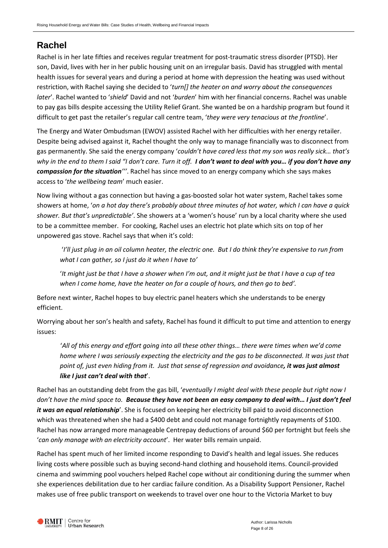## <span id="page-7-0"></span>**Rachel**

Rachel is in her late fifties and receives regular treatment for post-traumatic stress disorder (PTSD). Her son, David, lives with her in her public housing unit on an irregular basis. David has struggled with mental health issues for several years and during a period at home with depression the heating was used without restriction, with Rachel saying she decided to '*turn[] the heater on and worry about the consequences later*'. Rachel wanted to '*shield*' David and not '*burden*' him with her financial concerns. Rachel was unable to pay gas bills despite accessing the Utility Relief Grant. She wanted be on a hardship program but found it difficult to get past the retailer's regular call centre team, '*they were very tenacious at the frontline*'.

The Energy and Water Ombudsman (EWOV) assisted Rachel with her difficulties with her energy retailer. Despite being advised against it, Rachel thought the only way to manage financially was to disconnect from gas permanently. She said the energy company '*couldn't have cared less that my son was really sick… that's why in the end to them I said "I don't care. Turn it off. I don't want to deal with you… if you don't have any compassion for the situation'''*. Rachel has since moved to an energy company which she says makes access to '*the wellbeing team*' much easier.

Now living without a gas connection but having a gas-boosted solar hot water system, Rachel takes some showers at home, '*on a hot day there's probably about three minutes of hot water, which I can have a quick shower. But that's unpredictable'*. She showers at a 'women's house' run by a local charity where she used to be a committee member. For cooking, Rachel uses an electric hot plate which sits on top of her unpowered gas stove. Rachel says that when it's cold:

'*I'll just plug in an oil column heater, the electric one. But I do think they're expensive to run from what I can gather, so I just do it when I have to'*

'*It might just be that I have a shower when I'm out, and it might just be that I have a cup of tea when I come home, have the heater on for a couple of hours, and then go to bed'.* 

Before next winter, Rachel hopes to buy electric panel heaters which she understands to be energy efficient.

Worrying about her son's health and safety, Rachel has found it difficult to put time and attention to energy issues:

'*All of this energy and effort going into all these other things… there were times when we'd come home where I was seriously expecting the electricity and the gas to be disconnected. It was just that point of, just even hiding from it. Just that sense of regression and avoidance, it was just almost like I just can't deal with that*'.

Rachel has an outstanding debt from the gas bill, '*eventually I might deal with these people but right now I don't have the mind space to. Because they have not been an easy company to deal with… I just don't feel it was an equal relationship*'. She is focused on keeping her electricity bill paid to avoid disconnection which was threatened when she had a \$400 debt and could not manage fortnightly repayments of \$100. Rachel has now arranged more manageable Centrepay deductions of around \$60 per fortnight but feels she '*can only manage with an electricity account*'. Her water bills remain unpaid.

Rachel has spent much of her limited income responding to David's health and legal issues. She reduces living costs where possible such as buying second-hand clothing and household items. Council-provided cinema and swimming pool vouchers helped Rachel cope without air conditioning during the summer when she experiences debilitation due to her cardiac failure condition. As a Disability Support Pensioner, Rachel makes use of free public transport on weekends to travel over one hour to the Victoria Market to buy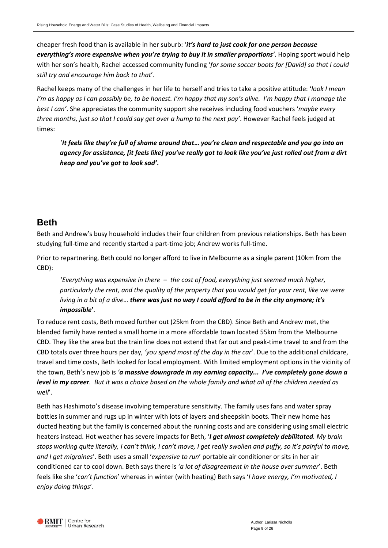cheaper fresh food than is available in her suburb: '*it's hard to just cook for one person because everything's more expensive when you're trying to buy it in smaller proportions'*. Hoping sport would help with her son's health, Rachel accessed community funding '*for some soccer boots for [David] so that I could still try and encourage him back to that*'.

Rachel keeps many of the challenges in her life to herself and tries to take a positive attitude: '*look I mean I'm as happy as I can possibly be, to be honest. I'm happy that my son's alive. I'm happy that I manage the best I can'*. She appreciates the community support she receives including food vouchers '*maybe every three months, just so that I could say get over a hump to the next pay'*. However Rachel feels judged at times:

'*It feels like they're full of shame around that***…** *you're clean and respectable and you go into an agency for assistance, [it feels like] you've really got to look like you've just rolled out from a dirt heap and you've got to look sad'***.** 

## <span id="page-8-0"></span>**Beth**

Beth and Andrew's busy household includes their four children from previous relationships. Beth has been studying full-time and recently started a part-time job; Andrew works full-time.

Prior to repartnering, Beth could no longer afford to live in Melbourne as a single parent (10km from the CBD):

'*Everything was expensive in there – the cost of food, everything just seemed much higher, particularly the rent, and the quality of the property that you would get for your rent, like we were living in a bit of a dive… there was just no way I could afford to be in the city anymore; it's impossible***'**.

To reduce rent costs, Beth moved further out (25km from the CBD). Since Beth and Andrew met, the blended family have rented a small home in a more affordable town located 55km from the Melbourne CBD. They like the area but the train line does not extend that far out and peak-time travel to and from the CBD totals over three hours per day, *'you spend most of the day in the car*'. Due to the additional childcare, travel and time costs, Beth looked for local employment. With limited employment options in the vicinity of the town, Beth's new job is *'a massive downgrade in my earning capacity... I've completely gone down a level in my career. But it was a choice based on the whole family and what all of the children needed as well*'.

Beth has Hashimoto's disease involving temperature sensitivity. The family uses fans and water spray bottles in summer and rugs up in winter with lots of layers and sheepskin boots. Their new home has ducted heating but the family is concerned about the running costs and are considering using small electric heaters instead. Hot weather has severe impacts for Beth, '*I get almost completely debilitated. My brain stops working quite literally, I can't think, I can't move, I get really swollen and puffy, so it's painful to move, and I get migraines*'. Beth uses a small '*expensive to run*' portable air conditioner or sits in her air conditioned car to cool down. Beth says there is '*a lot of disagreement in the house over summer*'. Beth feels like she '*can't function*' whereas in winter (with heating) Beth says '*I have energy, I'm motivated, I enjoy doing things*'.

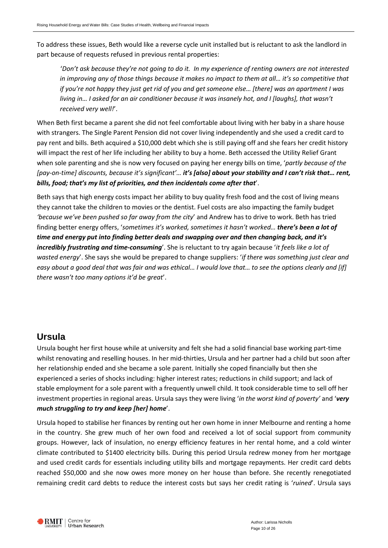To address these issues, Beth would like a reverse cycle unit installed but is reluctant to ask the landlord in part because of requests refused in previous rental properties:

'*Don't ask because they're not going to do it. In my experience of renting owners are not interested in improving any of those things because it makes no impact to them at all… it's so competitive that if you're not happy they just get rid of you and get someone else… [there] was an apartment I was living in… I asked for an air conditioner because it was insanely hot, and I [laughs], that wasn't received very well!*'.

When Beth first became a parent she did not feel comfortable about living with her baby in a share house with strangers. The Single Parent Pension did not cover living independently and she used a credit card to pay rent and bills. Beth acquired a \$10,000 debt which she is still paying off and she fears her credit history will impact the rest of her life including her ability to buy a home. Beth accessed the Utility Relief Grant when sole parenting and she is now very focused on paying her energy bills on time, '*partly because of the [pay-on-time] discounts, because it's significant'… it's [also] about your stability and I can't risk that… rent, bills, food; that's my list of priorities, and then incidentals come after that*'.

Beth says that high energy costs impact her ability to buy quality fresh food and the cost of living means they cannot take the children to movies or the dentist. Fuel costs are also impacting the family budget *'because we've been pushed so far away from the city*' and Andrew has to drive to work. Beth has tried finding better energy offers, '*sometimes it's worked, sometimes it hasn't worked… there's been a lot of time and energy put into finding better deals and swapping over and then changing back, and it's incredibly frustrating and time-consuming*'. She is reluctant to try again because '*it feels like a lot of wasted energy*'. She says she would be prepared to change suppliers: '*if there was something just clear and easy about a good deal that was fair and was ethical… I would love that… to see the options clearly and [if] there wasn't too many options it'd be great*'.

## <span id="page-9-0"></span>**Ursula**

Ursula bought her first house while at university and felt she had a solid financial base working part-time whilst renovating and reselling houses. In her mid-thirties, Ursula and her partner had a child but soon after her relationship ended and she became a sole parent. Initially she coped financially but then she experienced a series of shocks including: higher interest rates; reductions in child support; and lack of stable employment for a sole parent with a frequently unwell child. It took considerable time to sell off her investment properties in regional areas. Ursula says they were living '*in the worst kind of poverty'* and '*very much struggling to try and keep [her] home*'.

Ursula hoped to stabilise her finances by renting out her own home in inner Melbourne and renting a home in the country. She grew much of her own food and received a lot of social support from community groups. However, lack of insulation, no energy efficiency features in her rental home, and a cold winter climate contributed to \$1400 electricity bills. During this period Ursula redrew money from her mortgage and used credit cards for essentials including utility bills and mortgage repayments. Her credit card debts reached \$50,000 and she now owes more money on her house than before. She recently renegotiated remaining credit card debts to reduce the interest costs but says her credit rating is '*ruined*'. Ursula says

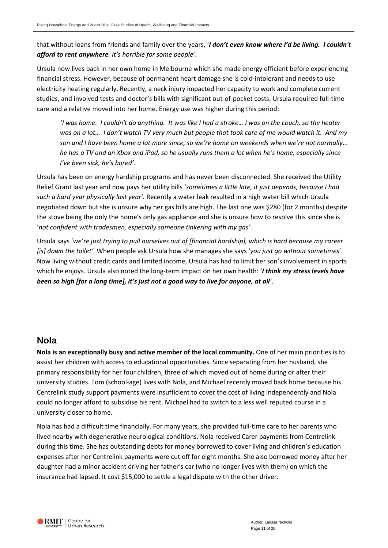that without loans from friends and family over the years, '*I don't even know where I'd be living. I couldn't afford to rent anywhere. It's horrible for some people*'.

Ursula now lives back in her own home in Melbourne which she made energy efficient before experiencing financial stress. However, because of permanent heart damage she is cold-intolerant and needs to use electricity heating regularly. Recently, a neck injury impacted her capacity to work and complete current studies, and involved tests and doctor's bills with significant out-of-pocket costs. Ursula required full-time care and a relative moved into her home. Energy use was higher during this period:

'*I was home. I couldn't do anything. It was like I had a stroke… I was on the couch, so the heater was on a lot… I don't watch TV very much but people that took care of me would watch it. And my son and I have been home a lot more since, so we're home on weekends when we're not normally... he has a TV and an Xbox and iPad, so he usually runs them a lot when he's home, especially since I've been sick, he's bored'*.

Ursula has been on energy hardship programs and has never been disconnected. She received the Utility Relief Grant last year and now pays her utility bills '*sometimes a little late, it just depends, because I had such a hard year physically last year'.* Recently a water leak resulted in a high water bill which Ursula negotiated down but she is unsure why her gas bills are high. The last one was \$280 (for 2 months) despite the stove being the only the home's only gas appliance and she is unsure how to resolve this since she is '*not confident with tradesmen, especially someone tinkering with my gas'*.

Ursula says '*we're just trying to pull ourselves out of [financial hardship], which is hard because my career [is] down the toilet'.* When people ask Ursula how she manages she says '*you just go without sometimes*'. Now living without credit cards and limited income, Ursula has had to limit her son's involvement in sports which he enjoys. Ursula also noted the long-term impact on her own health: '*I think my stress levels have been so high [for a long time], it's just not a good way to live for anyone, at all'*.

## <span id="page-10-0"></span>**Nola**

**Nola is an exceptionally busy and active member of the local community.** One of her main priorities is to assist her children with access to educational opportunities. Since separating from her husband, she primary responsibility for her four children, three of which moved out of home during or after their university studies. Tom (school-age) lives with Nola, and Michael recently moved back home because his Centrelink study support payments were insufficient to cover the cost of living independently and Nola could no longer afford to subsidise his rent. Michael had to switch to a less well reputed course in a university closer to home.

Nola has had a difficult time financially. For many years, she provided full-time care to her parents who lived nearby with degenerative neurological conditions. Nola received Carer payments from Centrelink during this time. She has outstanding debts for money borrowed to cover living and children's education expenses after her Centrelink payments were cut off for eight months. She also borrowed money after her daughter had a minor accident driving her father's car (who no longer lives with them) on which the insurance had lapsed. It cost \$15,000 to settle a legal dispute with the other driver.

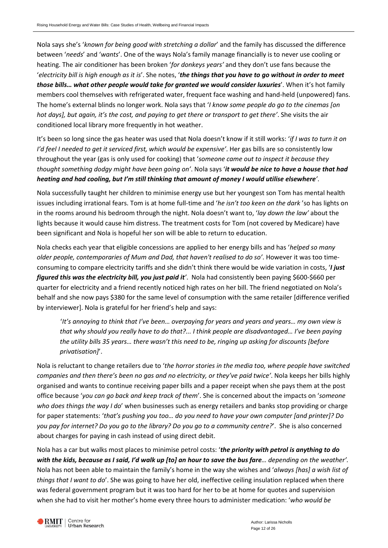Nola says she's '*known for being good with stretching a dollar*' and the family has discussed the difference between '*needs*' and '*wants*'. One of the ways Nola's family manage financially is to never use cooling or heating. The air conditioner has been broken '*for donkeys years'* and they don't use fans because the '*electricity bill is high enough as it is*'. She notes, '*the things that you have to go without in order to meet those bills… what other people would take for granted we would consider luxuries*'. When it's hot family members cool themselves with refrigerated water, frequent face washing and hand-held (unpowered) fans. The home's external blinds no longer work. Nola says that '*I know some people do go to the cinemas [on hot days], but again, it's the cost, and paying to get there or transport to get there'*. She visits the air conditioned local library more frequently in hot weather.

It's been so long since the gas heater was used that Nola doesn't know if it still works: '*if I was to turn it on I'd feel I needed to get it serviced first, which would be expensive'*. Her gas bills are so consistently low throughout the year (gas is only used for cooking) that '*someone came out to inspect it because they thought something dodgy might have been going on'*. Nola says '*it would be nice to have a house that had heating and had cooling, but I'm still thinking that amount of money I would utilise elsewhere'*.

Nola successfully taught her children to minimise energy use but her youngest son Tom has mental health issues including irrational fears. Tom is at home full-time and '*he isn't too keen on the dark* 'so has lights on in the rooms around his bedroom through the night. Nola doesn't want to, '*lay down the law'* about the lights because it would cause him distress. The treatment costs for Tom (not covered by Medicare) have been significant and Nola is hopeful her son will be able to return to education.

Nola checks each year that eligible concessions are applied to her energy bills and has '*helped so many older people, contemporaries of Mum and Dad, that haven't realised to do so'*. However it was too timeconsuming to compare electricity tariffs and she didn't think there would be wide variation in costs, '*I just figured this was the electricity bill, you just paid it'*. Nola had consistently been paying \$600-\$660 per quarter for electricity and a friend recently noticed high rates on her bill. The friend negotiated on Nola's behalf and she now pays \$380 for the same level of consumption with the same retailer [difference verified by interviewer]. Nola is grateful for her friend's help and says:

'*It's annoying to think that I've been… overpaying for years and years and years… my own view is that why should you really have to do that?... I think people are disadvantaged… I've been paying the utility bills 35 years… there wasn't this need to be, ringing up asking for discounts [before privatisation]*'.

Nola is reluctant to change retailers due to '*the horror stories in the media too, where people have switched companies and then there's been no gas and no electricity, or they've paid twice'*. Nola keeps her bills highly organised and wants to continue receiving paper bills and a paper receipt when she pays them at the post office because '*you can go back and keep track of them*'. She is concerned about the impacts on '*someone who does things the way I do*' when businesses such as energy retailers and banks stop providing or charge for paper statements: '*that's pushing you too… do you need to have your own computer [and printer]? Do you pay for internet? Do you go to the library? Do you go to a community centre?*'. She is also concerned about charges for paying in cash instead of using direct debit.

Nola has a car but walks most places to minimise petrol costs: '*the priority with petrol is anything to do with the kids, because as I said, I'd walk up [to] an hour to save the bus fare… depending on the weather'.* Nola has not been able to maintain the family's home in the way she wishes and '*always [has] a wish list of things that I want to do*'. She was going to have her old, ineffective ceiling insulation replaced when there was federal government program but it was too hard for her to be at home for quotes and supervision when she had to visit her mother's home every three hours to administer medication: '*who would be*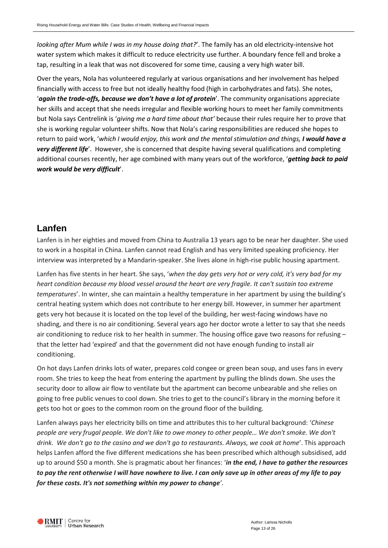*looking after Mum while I was in my house doing that?*'. The family has an old electricity-intensive hot water system which makes it difficult to reduce electricity use further. A boundary fence fell and broke a tap, resulting in a leak that was not discovered for some time, causing a very high water bill.

Over the years, Nola has volunteered regularly at various organisations and her involvement has helped financially with access to free but not ideally healthy food (high in carbohydrates and fats). She notes, '*again the trade-offs, because we don't have a lot of protein*'. The community organisations appreciate her skills and accept that she needs irregular and flexible working hours to meet her family commitments but Nola says Centrelink is '*giving me a hard time about that'* because their rules require her to prove that she is working regular volunteer shifts. Now that Nola's caring responsibilities are reduced she hopes to return to paid work, 'which I would enjoy, this work and the mental stimulation and things, I would have a *very different life*'. However, she is concerned that despite having several qualifications and completing additional courses recently, her age combined with many years out of the workforce, '*getting back to paid work would be very difficult*'.

## <span id="page-12-0"></span>**Lanfen**

Lanfen is in her eighties and moved from China to Australia 13 years ago to be near her daughter. She used to work in a hospital in China. Lanfen cannot read English and has very limited speaking proficiency. Her interview was interpreted by a Mandarin-speaker. She lives alone in high-rise public housing apartment.

Lanfen has five stents in her heart. She says, '*when the day gets very hot or very cold, it's very bad for my heart condition because my blood vessel around the heart are very fragile. It can't sustain too extreme temperatures*'. In winter, she can maintain a healthy temperature in her apartment by using the building's central heating system which does not contribute to her energy bill. However, in summer her apartment gets very hot because it is located on the top level of the building, her west-facing windows have no shading, and there is no air conditioning. Several years ago her doctor wrote a letter to say that she needs air conditioning to reduce risk to her health in summer. The housing office gave two reasons for refusing – that the letter had 'expired' and that the government did not have enough funding to install air conditioning.

On hot days Lanfen drinks lots of water, prepares cold congee or green bean soup, and uses fans in every room. She tries to keep the heat from entering the apartment by pulling the blinds down. She uses the security door to allow air flow to ventilate but the apartment can become unbearable and she relies on going to free public venues to cool down. She tries to get to the council's library in the morning before it gets too hot or goes to the common room on the ground floor of the building.

Lanfen always pays her electricity bills on time and attributes this to her cultural background: '*Chinese people are very frugal people. We don't like to owe money to other people… We don't smoke. We don't drink. We don't go to the casino and we don't go to restaurants. Always, we cook at home*'. This approach helps Lanfen afford the five different medications she has been prescribed which although subsidised, add up to around \$50 a month. She is pragmatic about her finances: '*in the end, I have to gather the resources to pay the rent otherwise I will have nowhere to live. I can only save up in other areas of my life to pay for these costs. It's not something within my power to change'*.

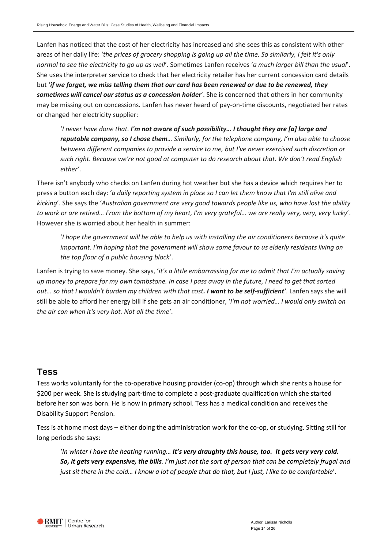Lanfen has noticed that the cost of her electricity has increased and she sees this as consistent with other areas of her daily life: '*the prices of grocery shopping is going up all the time. So similarly, I felt it's only normal to see the electricity to go up as well*'. Sometimes Lanfen receives '*a much larger bill than the usual*'. She uses the interpreter service to check that her electricity retailer has her current concession card details but '*if we forget, we miss telling them that our card has been renewed or due to be renewed, they sometimes will cancel our status as a concession holder*'. She is concerned that others in her community may be missing out on concessions. Lanfen has never heard of pay-on-time discounts, negotiated her rates or changed her electricity supplier:

'*I never have done that. I'm not aware of such possibility… I thought they are [a] large and reputable company, so I chose them… Similarly, for the telephone company, I'm also able to choose between different companies to provide a service to me, but I've never exercised such discretion or such right. Because we're not good at computer to do research about that. We don't read English either'*.

There isn't anybody who checks on Lanfen during hot weather but she has a device which requires her to press a button each day: '*a daily reporting system in place so I can let them know that I'm still alive and kicking*'. She says the '*Australian government are very good towards people like us, who have lost the ability to work or are retired… From the bottom of my heart, I'm very grateful… we are really very, very, very lucky*'. However she is worried about her health in summer:

'*I hope the government will be able to help us with installing the air conditioners because it's quite important. I'm hoping that the government will show some favour to us elderly residents living on the top floor of a public housing block*'.

Lanfen is trying to save money. She says, '*it's a little embarrassing for me to admit that I'm actually saving up money to prepare for my own tombstone. In case I pass away in the future, I need to get that sorted out… so that I wouldn't burden my children with that cost. I want to be self-sufficient'*. Lanfen says she will still be able to afford her energy bill if she gets an air conditioner, '*I'm not worried… I would only switch on the air con when it's very hot. Not all the time'*.

## <span id="page-13-0"></span>**Tess**

Tess works voluntarily for the co-operative housing provider (co-op) through which she rents a house for \$200 per week. She is studying part-time to complete a post-graduate qualification which she started before her son was born. He is now in primary school. Tess has a medical condition and receives the Disability Support Pension.

Tess is at home most days – either doing the administration work for the co-op, or studying. Sitting still for long periods she says:

'*In winter I have the heating running… It's very draughty this house, too. It gets very very cold. So, it gets very expensive, the bills. I'm just not the sort of person that can be completely frugal and just sit there in the cold… I know a lot of people that do that, but I just, I like to be comfortable*'.

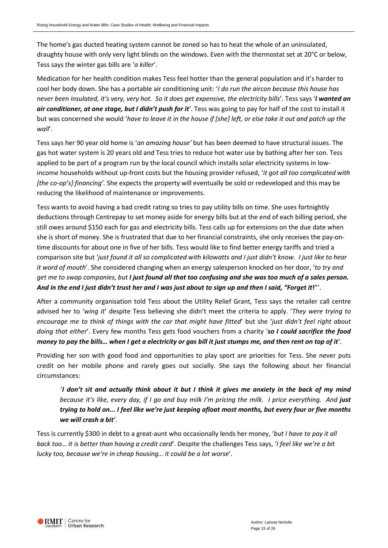The home's gas ducted heating system cannot be zoned so has to heat the whole of an uninsulated, draughty house with only very light blinds on the windows. Even with the thermostat set at 20°C or below, Tess says the winter gas bills are '*a killer*'.

Medication for her health condition makes Tess feel hotter than the general population and it's harder to cool her body down. She has a portable air conditioning unit: '*I do run the aircon because this house has never been insulated, it's very, very hot. So it does get expensive, the electricity bills*'. Tess says '*I wanted an air conditioner, at one stage, but I didn't push for it'*. Tess was going to pay for half of the cost to install it but was concerned she would '*have to leave it in the house if [she] left, or else take it out and patch up the wall*'.

Tess says her 90 year old home is '*an amazing house'* but has been deemed to have structural issues. The gas hot water system is 20 years old and Tess tries to reduce hot water use by bathing after her son. Tess applied to be part of a program run by the local council which installs solar electricity systems in lowincome households without up-front costs but the housing provider refused, '*it got all too complicated with [the co-op's] financing'.* She expects the property will eventually be sold or redeveloped and this may be reducing the likelihood of maintenance or improvements.

Tess wants to avoid having a bad credit rating so tries to pay utility bills on time. She uses fortnightly deductions through Centrepay to set money aside for energy bills but at the end of each billing period, she still owes around \$150 each for gas and electricity bills. Tess calls up for extensions on the due date when she is short of money. She is frustrated that due to her financial constraints, she only receives the pay-ontime discounts for about one in five of her bills. Tess would like to find better energy tariffs and tried a comparison site but '*just found it all so complicated with kilowatts and I just didn't know. I just like to hear it word of mouth*'. She considered changing when an energy salesperson knocked on her door, '*to try and get me to swap companies, but I just found all that too confusing and she was too much of a sales person. And in the end I just didn't trust her and I was just about to sign up and then I said, "Forget it***!**"'.

After a community organisation told Tess about the Utility Relief Grant, Tess says the retailer call centre advised her to '*wing it*' despite Tess believing she didn't meet the criteria to apply. '*They were trying to encourage me to think of things with the car that might have fitted*' but she '*just didn't feel right about doing that either*'. Every few months Tess gets food vouchers from a charity '*so I could sacrifice the food money to pay the bills… when I get a electricity or gas bill it just stumps me, and then rent on top of it'*.

Providing her son with good food and opportunities to play sport are priorities for Tess. She never puts credit on her mobile phone and rarely goes out socially. She says the following about her financial circumstances:

'*I don't sit and actually think about it but I think it gives me anxiety in the back of my mind because it's like, every day, if I go and buy milk I'm pricing the milk. I price everything. And just trying to hold on... I feel like we're just keeping afloat most months, but every four or five months we will crash a bit'*.

Tess is currently \$300 in debt to a great-aunt who occasionally lends her money, '*but I have to pay it all back too… it is better than having a credit card*'. Despite the challenges Tess says, '*I feel like we're a bit lucky too, because we're in cheap housing… it could be a lot worse*'.

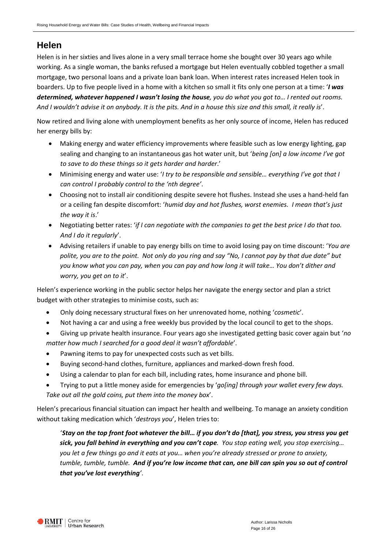## <span id="page-15-0"></span>**Helen**

Helen is in her sixties and lives alone in a very small terrace home she bought over 30 years ago while working. As a single woman, the banks refused a mortgage but Helen eventually cobbled together a small mortgage, two personal loans and a private loan bank loan. When interest rates increased Helen took in boarders. Up to five people lived in a home with a kitchen so small it fits only one person at a time: '*I was determined, whatever happened I wasn't losing the house, you do what you got to… I rented out rooms. And I wouldn't advise it on anybody. It is the pits. And in a house this size and this small, it really is*'.

Now retired and living alone with unemployment benefits as her only source of income, Helen has reduced her energy bills by:

- Making energy and water efficiency improvements where feasible such as low energy lighting, gap sealing and changing to an instantaneous gas hot water unit, but '*being [on] a low income I've got to save to do these things so it gets harder and harder*.'
- Minimising energy and water use: '*I try to be responsible and sensible… everything I've got that I can control I probably control to the 'nth degree'*.
- Choosing not to install air conditioning despite severe hot flushes. Instead she uses a hand-held fan or a ceiling fan despite discomfort: '*humid day and hot flushes, worst enemies. I mean that's just the way it is*.'
- Negotiating better rates: '*if I can negotiate with the companies to get the best price I do that too. And I do it regularly*'.
- Advising retailers if unable to pay energy bills on time to avoid losing pay on time discount: '*You are polite, you are to the point. Not only do you ring and say "No, I cannot pay by that due date" but you know what you can pay, when you can pay and how long it will take… You don't dither and worry, you get on to it*'.

Helen's experience working in the public sector helps her navigate the energy sector and plan a strict budget with other strategies to minimise costs, such as:

- Only doing necessary structural fixes on her unrenovated home, nothing '*cosmetic*'.
- Not having a car and using a free weekly bus provided by the local council to get to the shops.
- Giving up private health insurance. Four years ago she investigated getting basic cover again but '*no matter how much I searched for a good deal it wasn't affordable*'.
- Pawning items to pay for unexpected costs such as vet bills.
- Buying second-hand clothes, furniture, appliances and marked-down fresh food.
- Using a calendar to plan for each bill, including rates, home insurance and phone bill.
- Trying to put a little money aside for emergencies by '*go[ing] through your wallet every few days. Take out all the gold coins, put them into the money box*'.

Helen's precarious financial situation can impact her health and wellbeing. To manage an anxiety condition without taking medication which '*destroys you*', Helen tries to:

'*Stay on the top front foot whatever the bill… if you don't do [that], you stress, you stress you get sick, you fall behind in everything and you can't cope. You stop eating well, you stop exercising… you let a few things go and it eats at you… when you're already stressed or prone to anxiety, tumble, tumble, tumble. And if you're low income that can, one bill can spin you so out of control that you've lost everything'*.

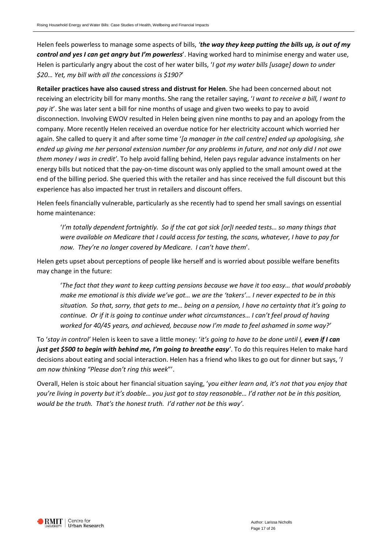Helen feels powerless to manage some aspects of bills, *'the way they keep putting the bills up, is out of my control and yes I can get angry but I'm powerless*'. Having worked hard to minimise energy and water use, Helen is particularly angry about the cost of her water bills, '*I got my water bills [usage] down to under \$20… Yet, my bill with all the concessions is \$190?*'

**Retailer practices have also caused stress and distrust for Helen**. She had been concerned about not receiving an electricity bill for many months. She rang the retailer saying, '*I want to receive a bill, I want to pay it*'. She was later sent a bill for nine months of usage and given two weeks to pay to avoid disconnection. Involving EWOV resulted in Helen being given nine months to pay and an apology from the company. More recently Helen received an overdue notice for her electricity account which worried her again. She called to query it and after some time '*[a manager in the call centre] ended up apologising, she ended up giving me her personal extension number for any problems in future, and not only did I not owe them money I was in credit'*. To help avoid falling behind, Helen pays regular advance instalments on her energy bills but noticed that the pay-on-time discount was only applied to the small amount owed at the end of the billing period. She queried this with the retailer and has since received the full discount but this experience has also impacted her trust in retailers and discount offers.

Helen feels financially vulnerable, particularly as she recently had to spend her small savings on essential home maintenance:

'*I'm totally dependent fortnightly. So if the cat got sick [or]I needed tests… so many things that were available on Medicare that I could access for testing, the scans, whatever, I have to pay for now. They're no longer covered by Medicare. I can't have them*'.

Helen gets upset about perceptions of people like herself and is worried about possible welfare benefits may change in the future:

'*The fact that they want to keep cutting pensions because we have it too easy… that would probably make me emotional is this divide we've got… we are the 'takers'… I never expected to be in this situation. So that, sorry, that gets to me… being on a pension, I have no certainty that it's going to continue. Or if it is going to continue under what circumstances… I can't feel proud of having worked for 40/45 years, and achieved, because now I'm made to feel ashamed in some way?'* 

To '*stay in control'* Helen is keen to save a little money: '*it's going to have to be done until I, even if I can just get \$500 to begin with behind me, I'm going to breathe easy'*. To do this requires Helen to make hard decisions about eating and social interaction. Helen has a friend who likes to go out for dinner but says, '*I am now thinking "Please don't ring this week*"'.

Overall, Helen is stoic about her financial situation saying, '*you either learn and, it's not that you enjoy that you're living in poverty but it's doable… you just got to stay reasonable… I'd rather not be in this position, would be the truth. That's the honest truth. I'd rather not be this way'*.

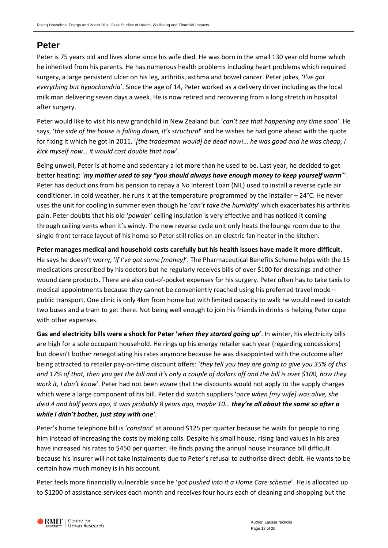## <span id="page-17-0"></span>**Peter**

Peter is 75 years old and lives alone since his wife died. He was born in the small 130 year old home which he inherited from his parents. He has numerous health problems including heart problems which required surgery, a large persistent ulcer on his leg, arthritis, asthma and bowel cancer. Peter jokes, '*I've got everything but hypochondria*'. Since the age of 14, Peter worked as a delivery driver including as the local milk man delivering seven days a week. He is now retired and recovering from a long stretch in hospital after surgery.

Peter would like to visit his new grandchild in New Zealand but '*can't see that happening any time soon*'. He says, '*the side of the house is falling down, it's structural*' and he wishes he had gone ahead with the quote for fixing it which he got in 2011, '*[the tradesman would] be dead now!… he was good and he was cheap, I kick myself now… it would cost double that now*'.

Being unwell, Peter is at home and sedentary a lot more than he used to be. Last year, he decided to get better heating: '*my mother used to say "you should always have enough money to keep yourself warm*"'. Peter has deductions from his pension to repay a No Interest Loan (NIL) used to install a reverse cycle air conditioner. In cold weather, he runs it at the temperature programmed by the installer – 24°C. He never uses the unit for cooling in summer even though he '*can't take the humidity*' which exacerbates his arthritis pain. Peter doubts that his old '*powder*' ceiling insulation is very effective and has noticed it coming through ceiling vents when it's windy. The new reverse cycle unit only heats the lounge room due to the single-front terrace layout of his home so Peter still relies on an electric fan heater in the kitchen.

**Peter manages medical and household costs carefully but his health issues have made it more difficult.** He says he doesn't worry, '*if I've got some [money]*'. The Pharmaceutical Benefits Scheme helps with the 15 medications prescribed by his doctors but he regularly receives bills of over \$100 for dressings and other wound care products. There are also out-of-pocket expenses for his surgery. Peter often has to take taxis to medical appointments because they cannot be conveniently reached using his preferred travel mode – public transport. One clinic is only 4km from home but with limited capacity to walk he would need to catch two buses and a tram to get there. Not being well enough to join his friends in drinks is helping Peter cope with other expenses.

**Gas and electricity bills were a shock for Peter '***when they started going up***'**. In winter, his electricity bills are high for a sole occupant household. He rings up his energy retailer each year (regarding concessions) but doesn't bother renegotiating his rates anymore because he was disappointed with the outcome after being attracted to retailer pay-on-time discount offers: '*they tell you they are going to give you 35% of this and 17% of that, then you get the bill and it's only a couple of dollars off and the bill is over \$100, how they work it, I don't know*'. Peter had not been aware that the discounts would not apply to the supply charges which were a large component of his bill. Peter did switch suppliers '*once when [my wife] was alive, she died 4 and half years ago, it was probably 8 years ago, maybe 10… they're all about the same so after a while I didn't bother, just stay with one'*.

Peter's home telephone bill is '*constant*' at around \$125 per quarter because he waits for people to ring him instead of increasing the costs by making calls. Despite his small house, rising land values in his area have increased his rates to \$450 per quarter. He finds paying the annual house insurance bill difficult because his insurer will not take instalments due to Peter's refusal to authorise direct-debit. He wants to be certain how much money is in his account.

Peter feels more financially vulnerable since he '*got pushed into it a Home Care scheme*'. He is allocated up to \$1200 of assistance services each month and receives four hours each of cleaning and shopping but the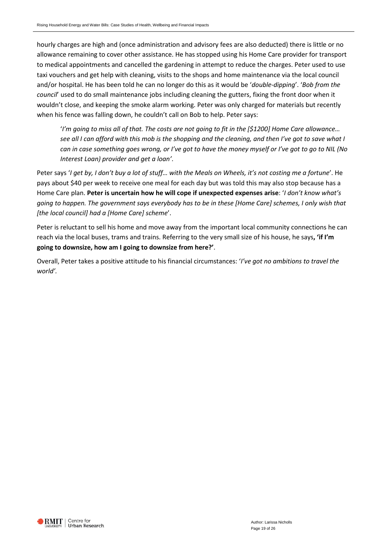hourly charges are high and (once administration and advisory fees are also deducted) there is little or no allowance remaining to cover other assistance. He has stopped using his Home Care provider for transport to medical appointments and cancelled the gardening in attempt to reduce the charges. Peter used to use taxi vouchers and get help with cleaning, visits to the shops and home maintenance via the local council and/or hospital. He has been told he can no longer do this as it would be '*double-dipping*'. '*Bob from the council*' used to do small maintenance jobs including cleaning the gutters, fixing the front door when it wouldn't close, and keeping the smoke alarm working. Peter was only charged for materials but recently when his fence was falling down, he couldn't call on Bob to help. Peter says:

'*I'm going to miss all of that. The costs are not going to fit in the [\$1200] Home Care allowance… see all I can afford with this mob is the shopping and the cleaning, and then I've got to save what I can in case something goes wrong, or I've got to have the money myself or I've got to go to NIL (No Interest Loan) provider and get a loan'*.

Peter says '*I get by, I don't buy a lot of stuff… with the Meals on Wheels, it's not costing me a fortune*'. He pays about \$40 per week to receive one meal for each day but was told this may also stop because has a Home Care plan. **Peter is uncertain how he will cope if unexpected expenses arise**: '*I don't know what's going to happen. The government says everybody has to be in these [Home Care] schemes, I only wish that [the local council] had a [Home Care] scheme*'.

Peter is reluctant to sell his home and move away from the important local community connections he can reach via the local buses, trams and trains. Referring to the very small size of his house, he says**, 'if I'm going to downsize, how am I going to downsize from here?'**.

Overall, Peter takes a positive attitude to his financial circumstances: '*I've got no ambitions to travel the world'.* 

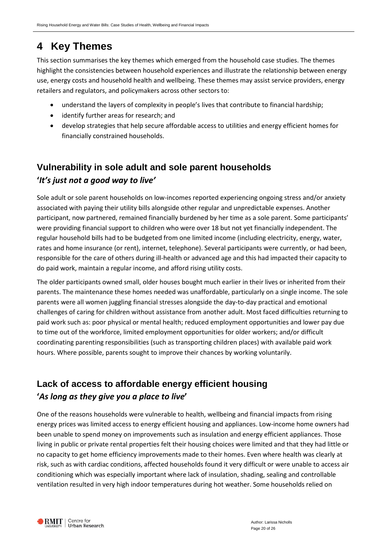# <span id="page-19-0"></span>**4 Key Themes**

This section summarises the key themes which emerged from the household case studies. The themes highlight the consistencies between household experiences and illustrate the relationship between energy use, energy costs and household health and wellbeing. These themes may assist service providers, energy retailers and regulators, and policymakers across other sectors to:

- understand the layers of complexity in people's lives that contribute to financial hardship;
- identify further areas for research; and
- develop strategies that help secure affordable access to utilities and energy efficient homes for financially constrained households.

# <span id="page-19-1"></span>**Vulnerability in sole adult and sole parent households '***It's just not a good way to live'*

Sole adult or sole parent households on low-incomes reported experiencing ongoing stress and/or anxiety associated with paying their utility bills alongside other regular and unpredictable expenses. Another participant, now partnered, remained financially burdened by her time as a sole parent. Some participants' were providing financial support to children who were over 18 but not yet financially independent. The regular household bills had to be budgeted from one limited income (including electricity, energy, water, rates and home insurance (or rent), internet, telephone). Several participants were currently, or had been, responsible for the care of others during ill-health or advanced age and this had impacted their capacity to do paid work, maintain a regular income, and afford rising utility costs.

The older participants owned small, older houses bought much earlier in their lives or inherited from their parents. The maintenance these homes needed was unaffordable, particularly on a single income. The sole parents were all women juggling financial stresses alongside the day-to-day practical and emotional challenges of caring for children without assistance from another adult. Most faced difficulties returning to paid work such as: poor physical or mental health; reduced employment opportunities and lower pay due to time out of the workforce, limited employment opportunities for older workers; and/or difficult coordinating parenting responsibilities (such as transporting children places) with available paid work hours. Where possible, parents sought to improve their chances by working voluntarily.

## <span id="page-19-2"></span>**Lack of access to affordable energy efficient housing '***As long as they give you a place to live***'**

One of the reasons households were vulnerable to health, wellbeing and financial impacts from rising energy prices was limited access to energy efficient housing and appliances. Low-income home owners had been unable to spend money on improvements such as insulation and energy efficient appliances. Those living in public or private rental properties felt their housing choices were limited and that they had little or no capacity to get home efficiency improvements made to their homes. Even where health was clearly at risk, such as with cardiac conditions, affected households found it very difficult or were unable to access air conditioning which was especially important where lack of insulation, shading, sealing and controllable ventilation resulted in very high indoor temperatures during hot weather. Some households relied on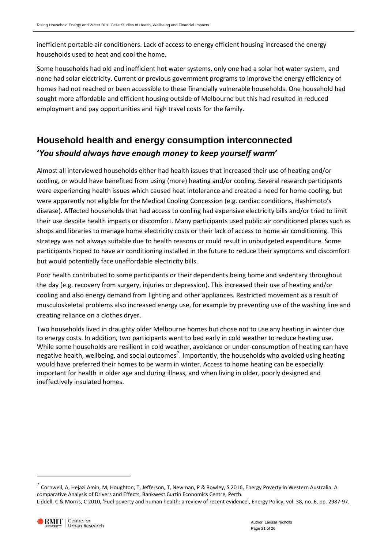inefficient portable air conditioners. Lack of access to energy efficient housing increased the energy households used to heat and cool the home.

Some households had old and inefficient hot water systems, only one had a solar hot water system, and none had solar electricity. Current or previous government programs to improve the energy efficiency of homes had not reached or been accessible to these financially vulnerable households. One household had sought more affordable and efficient housing outside of Melbourne but this had resulted in reduced employment and pay opportunities and high travel costs for the family.

# <span id="page-20-0"></span>**Household health and energy consumption interconnected '***You should always have enough money to keep yourself warm***'**

Almost all interviewed households either had health issues that increased their use of heating and/or cooling, or would have benefited from using (more) heating and/or cooling. Several research participants were experiencing health issues which caused heat intolerance and created a need for home cooling, but were apparently not eligible for the Medical Cooling Concession (e.g. cardiac conditions, Hashimoto's disease). Affected households that had access to cooling had expensive electricity bills and/or tried to limit their use despite health impacts or discomfort. Many participants used public air conditioned places such as shops and libraries to manage home electricity costs or their lack of access to home air conditioning. This strategy was not always suitable due to health reasons or could result in unbudgeted expenditure. Some participants hoped to have air conditioning installed in the future to reduce their symptoms and discomfort but would potentially face unaffordable electricity bills.

Poor health contributed to some participants or their dependents being home and sedentary throughout the day (e.g. recovery from surgery, injuries or depression). This increased their use of heating and/or cooling and also energy demand from lighting and other appliances. Restricted movement as a result of musculoskeletal problems also increased energy use, for example by preventing use of the washing line and creating reliance on a clothes dryer.

Two households lived in draughty older Melbourne homes but chose not to use any heating in winter due to energy costs. In addition, two participants went to bed early in cold weather to reduce heating use. While some households are resilient in cold weather, avoidance or under-consumption of heating can have negative health, wellbeing, and social outcomes<sup>[7](#page-20-1)</sup>. Importantly, the households who avoided using heating would have preferred their homes to be warm in winter. Access to home heating can be especially important for health in older age and during illness, and when living in older, poorly designed and ineffectively insulated homes.

-

<span id="page-20-1"></span> $^7$  Cornwell, A, Hejazi Amin, M, Houghton, T, Jefferson, T, Newman, P & Rowley, S 2016, Energy Poverty in Western Australia: A comparative Analysis of Drivers and Effects, Bankwest Curtin Economics Centre, Perth. Liddell, C & Morris, C 2010, 'Fuel poverty and human health: a review of recent evidence', Energy Policy, vol. 38, no. 6, pp. 2987-97.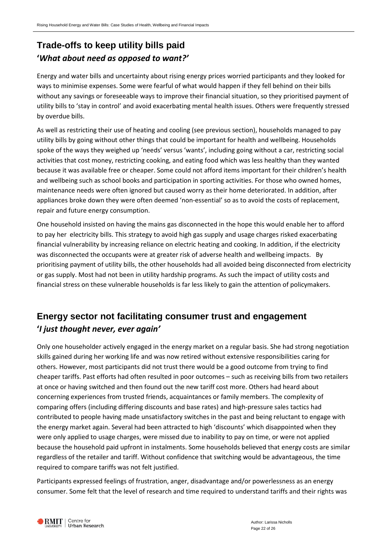# <span id="page-21-0"></span>**Trade-offs to keep utility bills paid '***What about need as opposed to want?'*

Energy and water bills and uncertainty about rising energy prices worried participants and they looked for ways to minimise expenses. Some were fearful of what would happen if they fell behind on their bills without any savings or foreseeable ways to improve their financial situation, so they prioritised payment of utility bills to 'stay in control' and avoid exacerbating mental health issues. Others were frequently stressed by overdue bills.

As well as restricting their use of heating and cooling (see previous section), households managed to pay utility bills by going without other things that could be important for health and wellbeing. Households spoke of the ways they weighed up 'needs' versus 'wants', including going without a car, restricting social activities that cost money, restricting cooking, and eating food which was less healthy than they wanted because it was available free or cheaper. Some could not afford items important for their children's health and wellbeing such as school books and participation in sporting activities. For those who owned homes, maintenance needs were often ignored but caused worry as their home deteriorated. In addition, after appliances broke down they were often deemed 'non-essential' so as to avoid the costs of replacement, repair and future energy consumption.

One household insisted on having the mains gas disconnected in the hope this would enable her to afford to pay her electricity bills. This strategy to avoid high gas supply and usage charges risked exacerbating financial vulnerability by increasing reliance on electric heating and cooking. In addition, if the electricity was disconnected the occupants were at greater risk of adverse health and wellbeing impacts. By prioritising payment of utility bills, the other households had all avoided being disconnected from electricity or gas supply. Most had not been in utility hardship programs. As such the impact of utility costs and financial stress on these vulnerable households is far less likely to gain the attention of policymakers.

## <span id="page-21-1"></span>**Energy sector not facilitating consumer trust and engagement '***I just thought never, ever again'*

Only one householder actively engaged in the energy market on a regular basis. She had strong negotiation skills gained during her working life and was now retired without extensive responsibilities caring for others. However, most participants did not trust there would be a good outcome from trying to find cheaper tariffs. Past efforts had often resulted in poor outcomes – such as receiving bills from two retailers at once or having switched and then found out the new tariff cost more. Others had heard about concerning experiences from trusted friends, acquaintances or family members. The complexity of comparing offers (including differing discounts and base rates) and high-pressure sales tactics had contributed to people having made unsatisfactory switches in the past and being reluctant to engage with the energy market again. Several had been attracted to high 'discounts' which disappointed when they were only applied to usage charges, were missed due to inability to pay on time, or were not applied because the household paid upfront in instalments. Some households believed that energy costs are similar regardless of the retailer and tariff. Without confidence that switching would be advantageous, the time required to compare tariffs was not felt justified.

Participants expressed feelings of frustration, anger, disadvantage and/or powerlessness as an energy consumer. Some felt that the level of research and time required to understand tariffs and their rights was

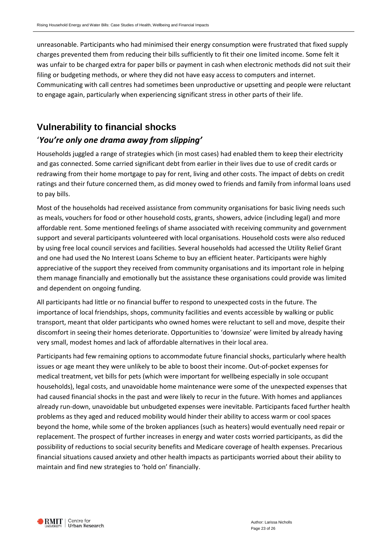unreasonable. Participants who had minimised their energy consumption were frustrated that fixed supply charges prevented them from reducing their bills sufficiently to fit their one limited income. Some felt it was unfair to be charged extra for paper bills or payment in cash when electronic methods did not suit their filing or budgeting methods, or where they did not have easy access to computers and internet. Communicating with call centres had sometimes been unproductive or upsetting and people were reluctant to engage again, particularly when experiencing significant stress in other parts of their life.

# <span id="page-22-0"></span>**Vulnerability to financial shocks**

## '*You're only one drama away from slipping'*

Households juggled a range of strategies which (in most cases) had enabled them to keep their electricity and gas connected. Some carried significant debt from earlier in their lives due to use of credit cards or redrawing from their home mortgage to pay for rent, living and other costs. The impact of debts on credit ratings and their future concerned them, as did money owed to friends and family from informal loans used to pay bills.

Most of the households had received assistance from community organisations for basic living needs such as meals, vouchers for food or other household costs, grants, showers, advice (including legal) and more affordable rent. Some mentioned feelings of shame associated with receiving community and government support and several participants volunteered with local organisations. Household costs were also reduced by using free local council services and facilities. Several households had accessed the Utility Relief Grant and one had used the No Interest Loans Scheme to buy an efficient heater. Participants were highly appreciative of the support they received from community organisations and its important role in helping them manage financially and emotionally but the assistance these organisations could provide was limited and dependent on ongoing funding.

All participants had little or no financial buffer to respond to unexpected costs in the future. The importance of local friendships, shops, community facilities and events accessible by walking or public transport, meant that older participants who owned homes were reluctant to sell and move, despite their discomfort in seeing their homes deteriorate. Opportunities to 'downsize' were limited by already having very small, modest homes and lack of affordable alternatives in their local area.

Participants had few remaining options to accommodate future financial shocks, particularly where health issues or age meant they were unlikely to be able to boost their income. Out-of-pocket expenses for medical treatment, vet bills for pets (which were important for wellbeing especially in sole occupant households), legal costs, and unavoidable home maintenance were some of the unexpected expenses that had caused financial shocks in the past and were likely to recur in the future. With homes and appliances already run-down, unavoidable but unbudgeted expenses were inevitable. Participants faced further health problems as they aged and reduced mobility would hinder their ability to access warm or cool spaces beyond the home, while some of the broken appliances (such as heaters) would eventually need repair or replacement. The prospect of further increases in energy and water costs worried participants, as did the possibility of reductions to social security benefits and Medicare coverage of health expenses. Precarious financial situations caused anxiety and other health impacts as participants worried about their ability to maintain and find new strategies to 'hold on' financially.

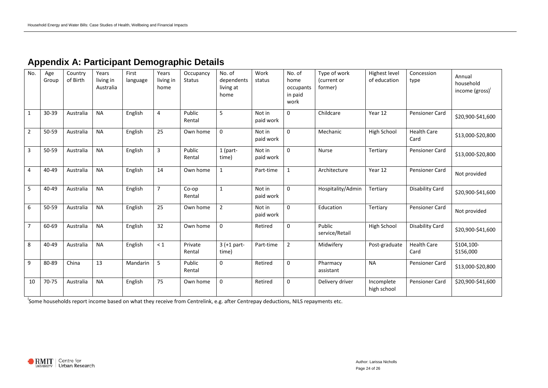| No.            | Age<br>Group | Country<br>of Birth | Years<br>living in<br>Australia | First<br>language | Years<br>living in<br>home | Occupancy<br>Status | No. of<br>dependents<br>living at<br>home | Work<br>status      | No. of<br>home<br>occupants<br>in paid<br>work | Type of work<br>(current or<br>former) | Highest level<br>of education | Concession<br>type         | Annual<br>household<br>income (gross) |
|----------------|--------------|---------------------|---------------------------------|-------------------|----------------------------|---------------------|-------------------------------------------|---------------------|------------------------------------------------|----------------------------------------|-------------------------------|----------------------------|---------------------------------------|
| $\mathbf{1}$   | 30-39        | Australia           | <b>NA</b>                       | English           | $\overline{4}$             | Public<br>Rental    | 5                                         | Not in<br>paid work | $\Omega$                                       | Childcare                              | Year 12                       | Pensioner Card             | \$20,900-\$41,600                     |
| $\overline{2}$ | 50-59        | Australia           | <b>NA</b>                       | English           | 25                         | Own home            | $\mathbf 0$                               | Not in<br>paid work | $\mathbf 0$                                    | Mechanic                               | High School                   | <b>Health Care</b><br>Card | \$13,000-\$20,800                     |
| 3              | 50-59        | Australia           | <b>NA</b>                       | English           | 3                          | Public<br>Rental    | 1 (part-<br>time)                         | Not in<br>paid work | $\mathbf 0$                                    | <b>Nurse</b>                           | Tertiary                      | Pensioner Card             | \$13,000-\$20,800                     |
| 4              | 40-49        | Australia           | <b>NA</b>                       | English           | 14                         | Own home            | $\mathbf{1}$                              | Part-time           | $\mathbf{1}$                                   | Architecture                           | Year 12                       | <b>Pensioner Card</b>      | Not provided                          |
| 5              | 40-49        | Australia           | <b>NA</b>                       | English           | $\overline{7}$             | Co-op<br>Rental     | $\mathbf{1}$                              | Not in<br>paid work | $\Omega$                                       | Hospitality/Admin                      | Tertiary                      | <b>Disability Card</b>     | \$20,900-\$41,600                     |
| 6              | 50-59        | Australia           | <b>NA</b>                       | English           | 25                         | Own home            | $\overline{2}$                            | Not in<br>paid work | $\mathbf 0$                                    | Education                              | Tertiary                      | Pensioner Card             | Not provided                          |
| $\overline{7}$ | 60-69        | Australia           | <b>NA</b>                       | English           | 32                         | Own home            | $\boldsymbol{0}$                          | Retired             | $\mathbf 0$                                    | Public<br>service/Retail               | High School                   | <b>Disability Card</b>     | \$20,900-\$41,600                     |
| 8              | 40-49        | Australia           | <b>NA</b>                       | English           | $\leq 1$                   | Private<br>Rental   | $3 (+1 part -$<br>time)                   | Part-time           | $\overline{2}$                                 | Midwifery                              | Post-graduate                 | <b>Health Care</b><br>Card | \$104,100-<br>\$156,000               |
| 9              | 80-89        | China               | 13                              | Mandarin          | 5                          | Public<br>Rental    | $\mathbf 0$                               | Retired             | $\mathbf 0$                                    | Pharmacy<br>assistant                  | <b>NA</b>                     | Pensioner Card             | \$13,000-\$20,800                     |
| 10             | 70-75        | Australia           | <b>NA</b>                       | English           | 75                         | Own home            | $\boldsymbol{0}$                          | Retired             | $\mathbf 0$                                    | Delivery driver                        | Incomplete<br>high school     | Pensioner Card             | \$20,900-\$41,600                     |

# **Appendix A: Participant Demographic Details**

<span id="page-23-0"></span><sup>i</sup><br>Some households report income based on what they receive from Centrelink, e.g. after Centrepay deductions, NILS repayments etc.

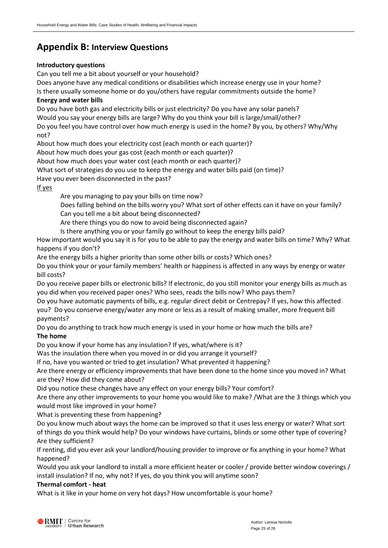## <span id="page-24-0"></span>**Appendix B: Interview Questions**

#### **Introductory questions**

Can you tell me a bit about yourself or your household?

Does anyone have any medical conditions or disabilities which increase energy use in your home?

Is there usually someone home or do you/others have regular commitments outside the home? **Energy and water bills**

Do you have both gas and electricity bills or just electricity? Do you have any solar panels? Would you say your energy bills are large? Why do you think your bill is large/small/other? Do you feel you have control over how much energy is used in the home? By you, by others? Why/Why not?

About how much does your electricity cost (each month or each quarter)?

About how much does your gas cost (each month or each quarter)?

About how much does your water cost (each month or each quarter)?

What sort of strategies do you use to keep the energy and water bills paid (on time)?

Have you ever been disconnected in the past?

If yes

Are you managing to pay your bills on time now?

Does falling behind on the bills worry you? What sort of other effects can it have on your family? Can you tell me a bit about being disconnected?

Are there things you do now to avoid being disconnected again?

Is there anything you or your family go without to keep the energy bills paid?

How important would you say it is for you to be able to pay the energy and water bills on time? Why? What happens if you don't?

Are the energy bills a higher priority than some other bills or costs? Which ones?

Do you think your or your family members' health or happiness is affected in any ways by energy or water bill costs?

Do you receive paper bills or electronic bills? If electronic, do you still monitor your energy bills as much as you did when you received paper ones? Who sees, reads the bills now? Who pays them?

Do you have automatic payments of bills, e.g. regular direct debit or Centrepay? If yes, how this affected you? Do you conserve energy/water any more or less as a result of making smaller, more frequent bill payments?

Do you do anything to track how much energy is used in your home or how much the bills are?

#### **The home**

Do you know if your home has any insulation? If yes, what/where is it?

Was the insulation there when you moved in or did you arrange it yourself?

If no, have you wanted or tried to get insulation? What prevented it happening?

Are there energy or efficiency improvements that have been done to the home since you moved in? What are they? How did they come about?

Did you notice these changes have any effect on your energy bills? Your comfort?

Are there any other improvements to your home you would like to make? /What are the 3 things which you would most like improved in your home?

What is preventing these from happening?

Do you know much about ways the home can be improved so that it uses less energy or water? What sort of things do you think would help? Do your windows have curtains, blinds or some other type of covering? Are they sufficient?

If renting, did you ever ask your landlord/housing provider to improve or fix anything in your home? What happened?

Would you ask your landlord to install a more efficient heater or cooler / provide better window coverings / install insulation? If no, why not? If yes, do you think you will anytime soon?

#### **Thermal comfort - heat**

What is it like in your home on very hot days? How uncomfortable is your home?